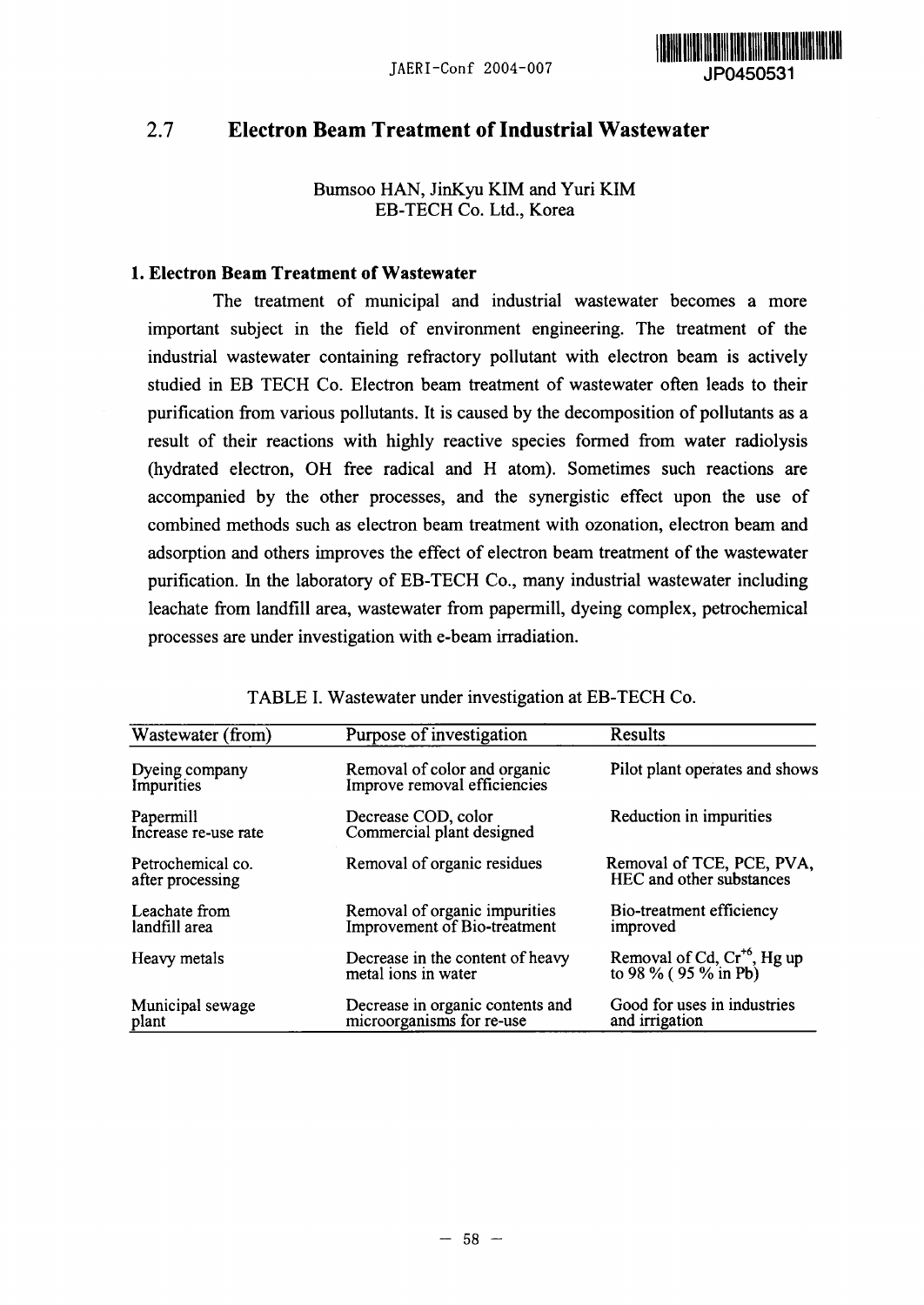

# 2.7 **Electron Beam Treatment of Industrial Wastewater**

Bumsoo HAN, JinKyu KIM and Yuri KIM EB-TECH Co. Ltd., Korea

### 1. **Electron Beam Treatment of Wastewater**

The treatment of municipal and industrial wastewater becomes a more important subject in the field of environment engineering. The treatment of the industrial wastewater containing refractory pollutant with electron beam is actively studied in EB TECH Co. Electron beam treatment of wastewater often leads to their purification from various pollutants. It is caused by the decomposition of pollutants as a result of their reactions with highly reactive species formed from water radiolysis (hydrated electron, OH free radical and H atom). Sometimes such reactions are accompanied by the other processes, and the synergistic effect upon the use of combined methods such as electron beam treatment with ozonation, electron beam and adsorption and others improves the effect of electron beam treatment of the wastewater purification. In the laboratory of EB-TECH Co., many industrial wastewater including leachate from landfill area, wastewater from papermill, dyeing complex, petrochemical processes are under investigation with e-beam irradiation.

| Wastewater (from)                     | Purpose of investigation                                      | <b>Results</b><br>Pilot plant operates and shows             |  |  |  |  |  |
|---------------------------------------|---------------------------------------------------------------|--------------------------------------------------------------|--|--|--|--|--|
| Dyeing company<br>Impurities          | Removal of color and organic<br>Improve removal efficiencies  |                                                              |  |  |  |  |  |
| Papermill<br>Increase re-use rate     | Decrease COD, color<br>Commercial plant designed              | Reduction in impurities                                      |  |  |  |  |  |
| Petrochemical co.<br>after processing | Removal of organic residues                                   | Removal of TCE, PCE, PVA,<br><b>HEC</b> and other substances |  |  |  |  |  |
| Leachate from<br>landfill area        | Removal of organic impurities<br>Improvement of Bio-treatment | Bio-treatment efficiency<br>improved                         |  |  |  |  |  |
| Heavy metals                          | Decrease in the content of heavy<br>metal ions in water       | Removal of Cd, $Cr^{+6}$ , Hg up<br>to 98 % (95 % in Pb)     |  |  |  |  |  |
| Municipal sewage<br>plant             | Decrease in organic contents and<br>microorganisms for re-use | Good for uses in industries<br>and irrigation                |  |  |  |  |  |

### TABLE 1. Wastewater under investigation at EB-TECH Co.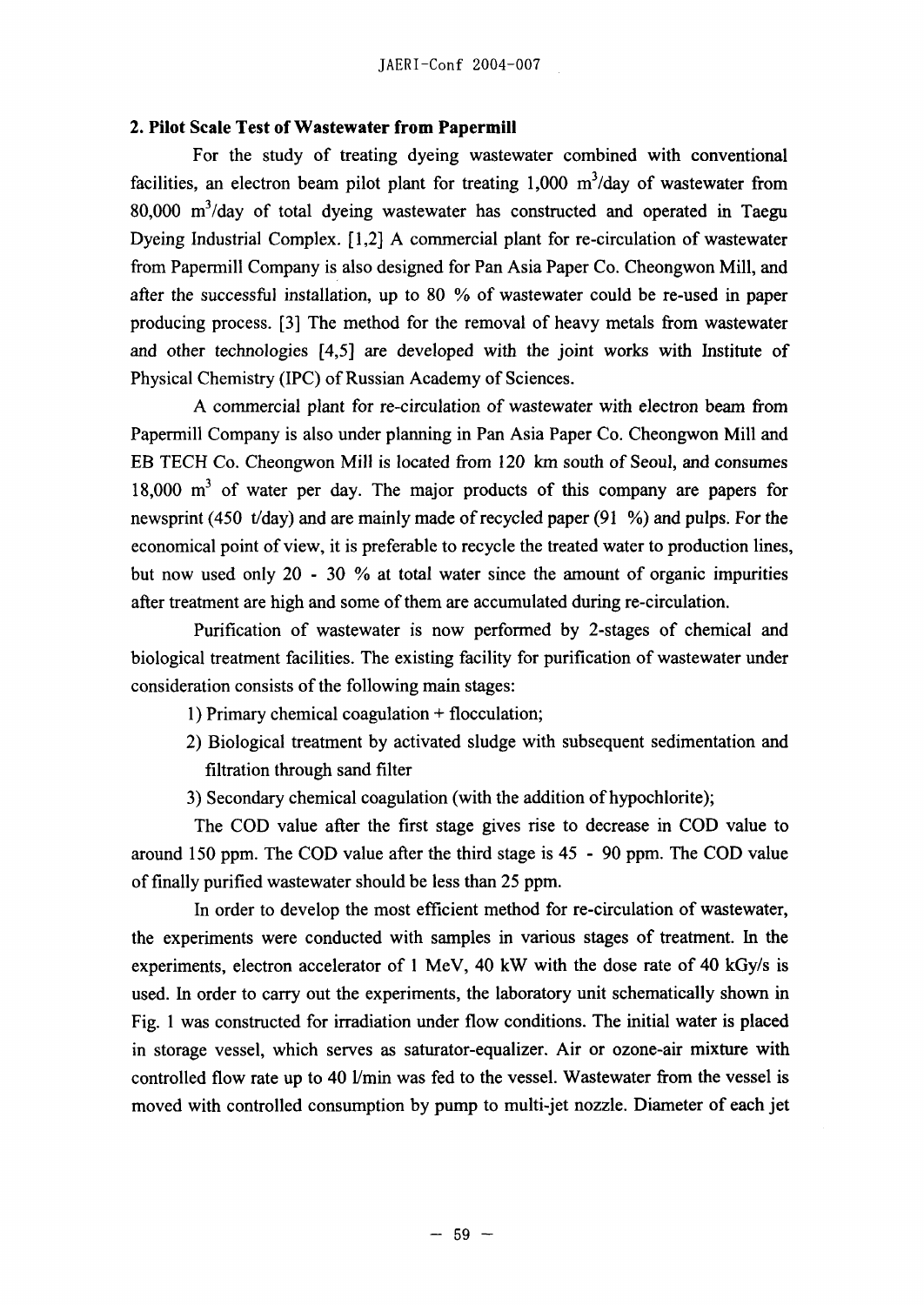### **2. Pilot Scale Test of Wastewater from Papermill**

For the study of treating dyeing wastewater combined with conventional facilities, an electron beam pilot plant for treating  $1,000 \text{ m}^3/\text{day}$  of wastewater from 80,000 m<sup>3</sup>/day of total dyeing wastewater has constructed and operated in Taegu Dyeing Industrial Complex.  $[1,2]$  A commercial plant for re-circulation of wastewater from Papermill Company is also designed for Pan Asia Paper Co. Cheongwon Mill, and after the successful installation, up to 80  $%$  of wastewater could be re-used in paper producing process. [3] The method for the removal of heavy metals from wastewater and other technologies [4,5] are developed with the joint works with Institute of Physical Chemistry (IPC) of Russian Academy of Sciences.

A commercial plant for re-circulation of wastewater with electron beam from Papermill Company is also under planning in Pan Asia Paper Co. Cheongwon Mill and EB TECH Co. Cheongwon Mill is located from 120 km south of Seoul, and consumes  $18,000$  m<sup>3</sup> of water per day. The major products of this company are papers for newsprint (450 t/day) and are mainly made of recycled paper (91 %) and pulps. For the economical point of view, it is preferable to recycle the treated water to production lines, but now used only 20 - 30  $\%$  at total water since the amount of organic impurities after treatment are high and some of them are accumulated during re-circulation.

Purification of wastewater is now performed by 2-stages of chemical and biological treatment facilities. The existing facility for purification of wastewater under consideration consists of the following main stages:

- 1) Primary chemical coagulation  $+$  flocculation;
- 2) Biological treatment by activated sludge with subsequent sedimentation and filtration through sand filter
- 3) Secondary chemical coagulation (with the addition of hypochlorite);

The COD value after the first stage gives rise to decrease in COD value to around 150 ppm. The COD value after the third stage is 45 - 90 ppm. The COD value of finally purified wastewater should be less than 25 ppm.

In order to develop the most efficient method for re-circulation of wastewater, the experiments were conducted with samples in various stages of treatment. In the experiments, electron accelerator of I MeV, 40 kW with the dose rate of 40 kGy/s is used. In order to carry out the experiments, the laboratory unit schematically shown in Fig. I was constructed for irradiation under flow conditions. The initial water is placed in storage vessel, which serves as saturator-equalizer. Air or ozone-air mixture with controlled flow rate up to 40 l/min was fed to the vessel. Wastewater from the vessel is moved with controlled consumption by pump to multi-jet nozzle. Diameter of each jet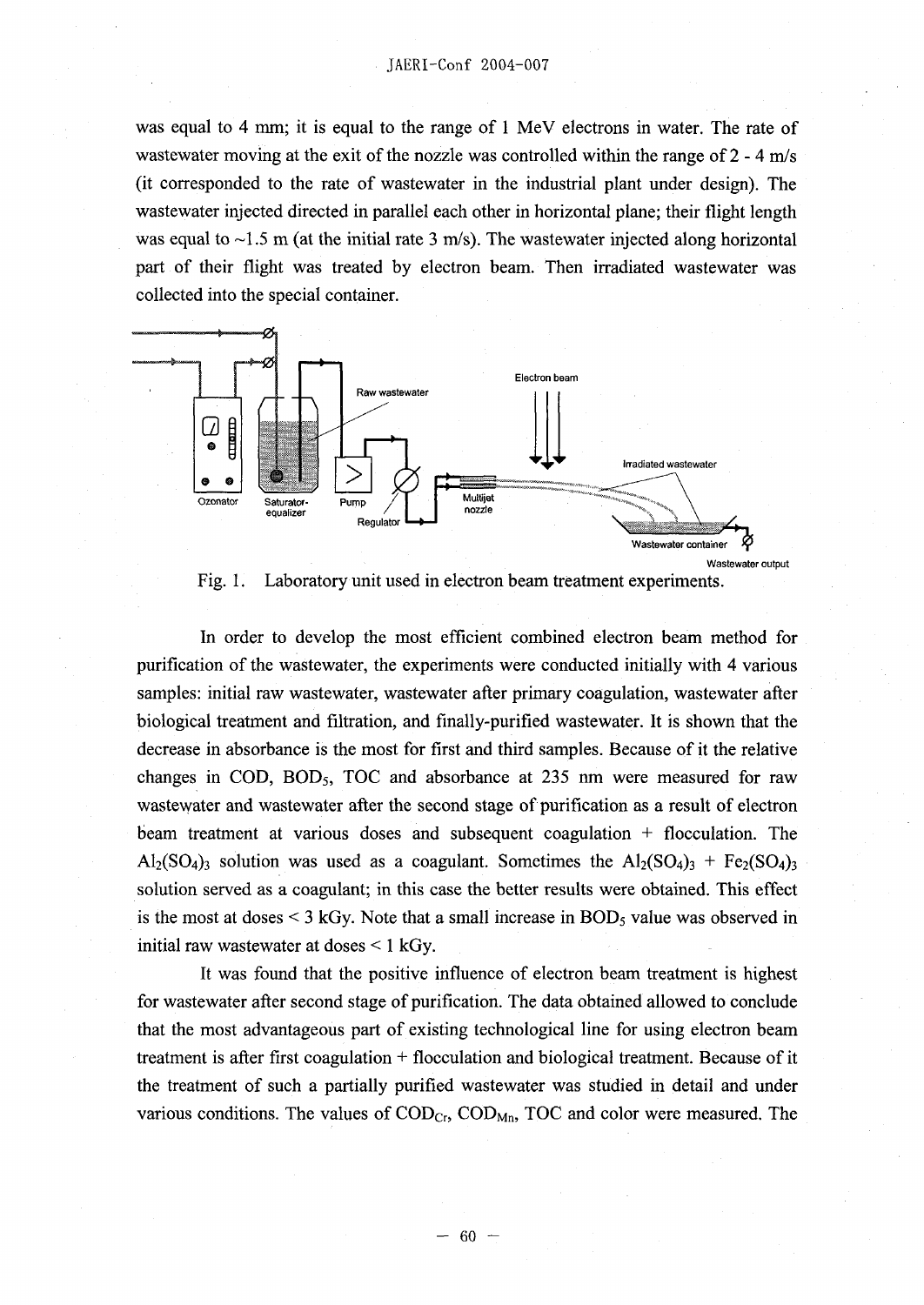was equal to 4 mm; it is equal to the range of I MeV electrons in water. The rate of wastewater moving at the exit of the nozzle was controlled within the range of  $2 - 4$  m/s (it corresponded to the rate of wastewater in the industrial plant under design). The wastewater injected directed in parallel each other in horizontal plane; their flight length was equal to  $\sim$ 1.5 m (at the initial rate 3 m/s). The wastewater injected along horizontal part of their flight was treated by electron beam. Then irradiated wastewater was collected into the special container.



Fig. 1. Laboratory unit used in electron beam treatment experiments.

In order to develop the most efficient combined electron beam method for purification of the wastewater, the experiments were conducted initially with 4 various samples: initial raw wastewater, wastewater after primary coagulation, wastewater after biological treatment and filtration, and finally-purified wastewater. It is shown that the decrease in absorbance is the most for **first** and third samples. Because of it the relative changes in COD,  $BOD_5$ , TOC and absorbance at 235 nm were measured for raw wastewater and wastewater after the second stage of purification as a result of electron beam treatment at various doses and subsequent coagulation  $+$  flocculation. The  $\text{Al}_2(\text{SO}_4)_3$  solution was used as a coagulant. Sometimes the  $\text{Al}_2(\text{SO}_4)_3$  +  $\text{Fe}_2(\text{SO}_4)_3$ solution served as a coagulant; in this case the better results were obtained. This effect is the most at doses  $\leq 3$  kGy. Note that a small increase in BOD<sub>5</sub> value was observed in initial raw wastewater at doses < I kGy.

It was found that the positive influence of electron beam treatment is highest for Wastewater after second stage of purification. The data obtained allowed to conclude that the most advantageous part of existing technological line for using electron beam treatment is after first coagulation  $f$  flocculation and biological treatment. Because of it the treatment of such a partially purified wastewater was studied in detail and under various conditions. The values of  $\text{COD}_{\text{Cr}}$ ,  $\text{COD}_{\text{Mn}}$ , TOC and color were measured. The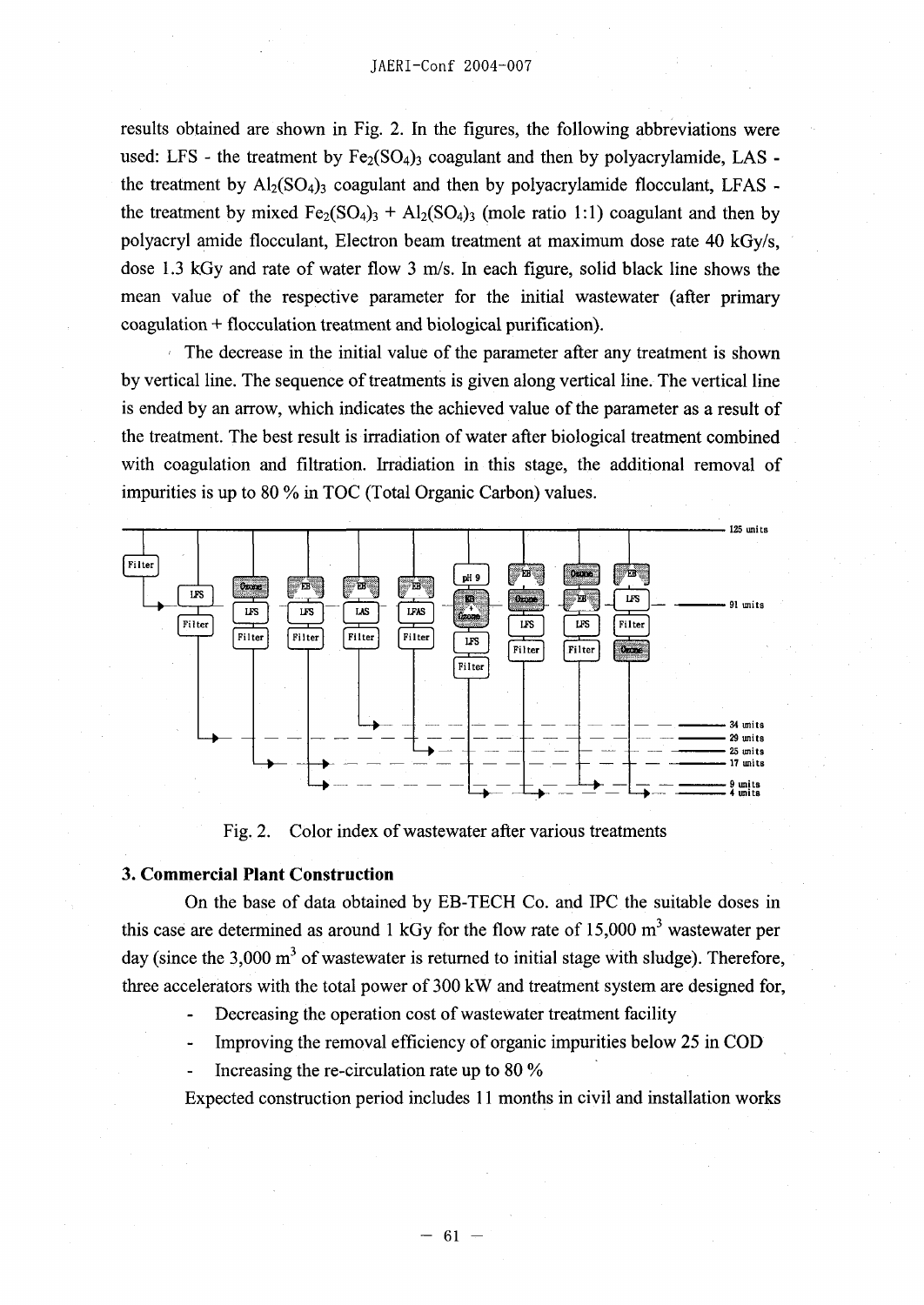results obtained are shown in Fig. 2. In the figures, the following abbreviations were used: LFS - the treatment by  $Fe<sub>2</sub>(SO<sub>4</sub>)<sub>3</sub>$  coagulant and then by polyacrylamide, LAS the treatment by  $\text{Al}_2(\text{SO}_4)$ <sub>3</sub> coagulant and then by polyacrylamide flocculant, LFAS the treatment by mixed  $Fe<sub>2</sub>(SO<sub>4</sub>)<sub>3</sub> + Al<sub>2</sub>(SO<sub>4</sub>)<sub>3</sub>$  (mole ratio 1:1) coagulant and then by polyacryl amide flocculant, Electron beam treatment at maximum dose rate 40 kGy/s, dose 1.3 kGy and rate of water flow 3 m/s. In each figure, solid black line shows the mean value of the respective parameter for the initial wastewater (after primary  $coagulation + flocculation treatment and biological purification).$ 

The decrease in the initial value of the parameter after any treatment is shown by vertical line. The sequence of treatments is given along vertical line. The vertical line is ended by an arrow, which indicates the achieved value of the parameter as a result of the treatment. The best result is irradiation of water after biological treatment combined with coagulation and filtration. Irradiation in this stage, the additional removal of impurities is up to 80 % in TOC (Total Organic Carbon) values.



Fig. 2. Color index of wastewater after various treatments

#### **3. Commercial Plant Construction**

On the base of data obtained by EB-TECH Co. and IPC the suitable doses **in** this case are determined as around  $1 \text{ kGy}$  for the flow rate of  $15,000 \text{ m}^3$  wastewater per day (since the  $3,000 \text{ m}^3$  of wastewater is returned to initial stage with sludge). Therefore, three accelerators with the total power of 300 kW and treatment system are designed for,

- Decreasing the operation cost of wastewater treatment facility
- Improving the removal efficiency of organic impurities below 25 in COD
- Increasing the re-circulation rate up to  $80\%$

Expected construction period includes I I months in civil and installation works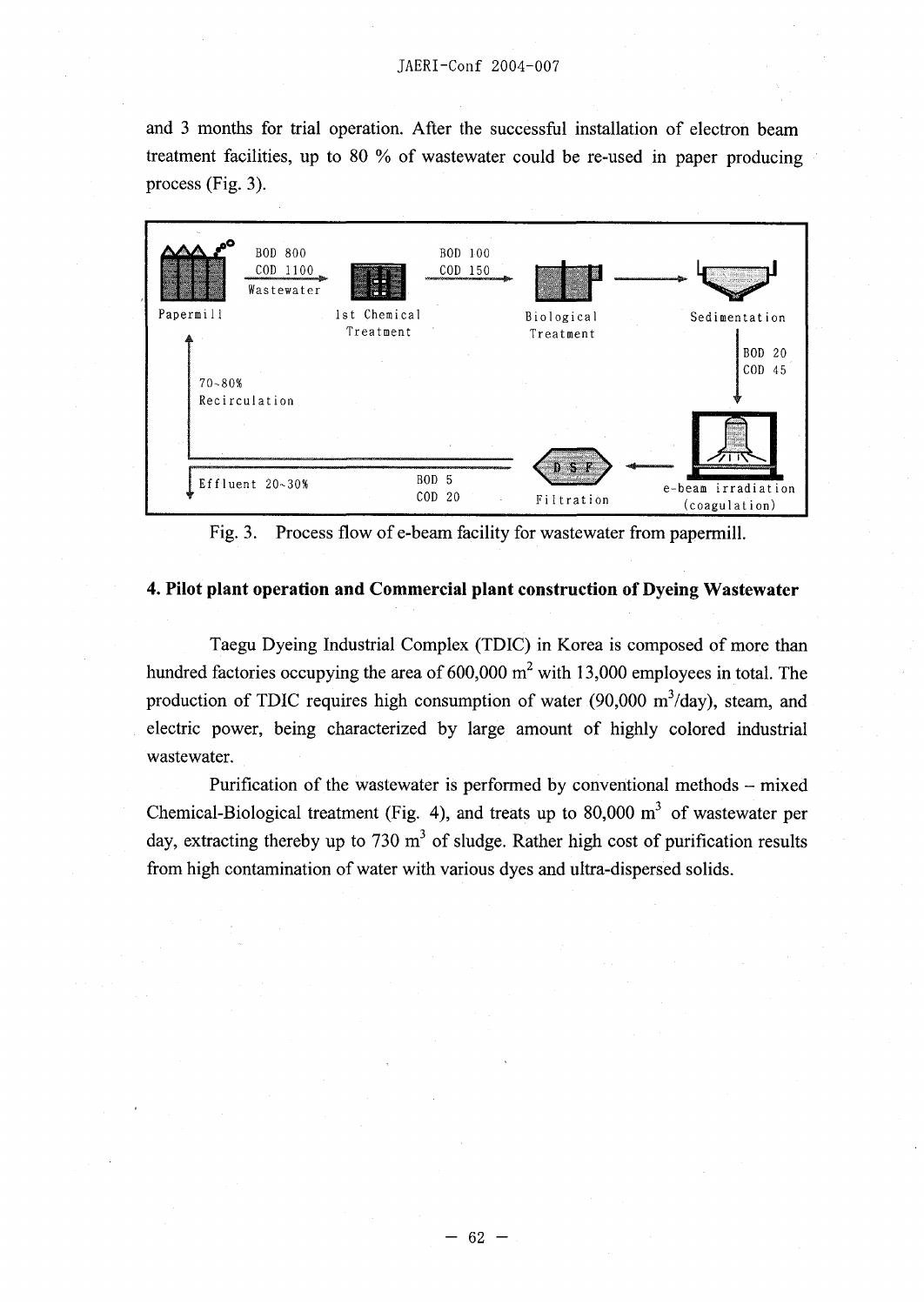**and 3 months for trial operation. After the successful installation of electron beam** treatment facilities, up to 80 % of wastewater could be re-used in paper producing **process (Fig. 3.**



Fig. 3. Process flow of e-beam facility for wastewater from papermill.

#### **4. Pilot plant operation and Commercial plant construction of Dyeing Wastewater**

**Taegu Dyeing Industrial Complex (TDIC) in Korea is composed of more than** hundred factories occupying the area of 600,000 m<sup>2</sup> with 13,000 employees in total. The production of TDIC requires high consumption of water (90,000 m<sup>3</sup>/day), steam, and **electric power, being characterized by large amount of highly colored industrial wastewater.**

**Purification of the wastewater is performed by conventional methods - mixed** Chemical-Biological treatment (Fig. 4), and treats up to  $80,000 \text{ m}^3$  of wastewater per day, extracting thereby up to 730 m<sup>3</sup> of sludge. Rather high cost of purification results **from high contamination of water with various dyes and ultra-dispersed solids.**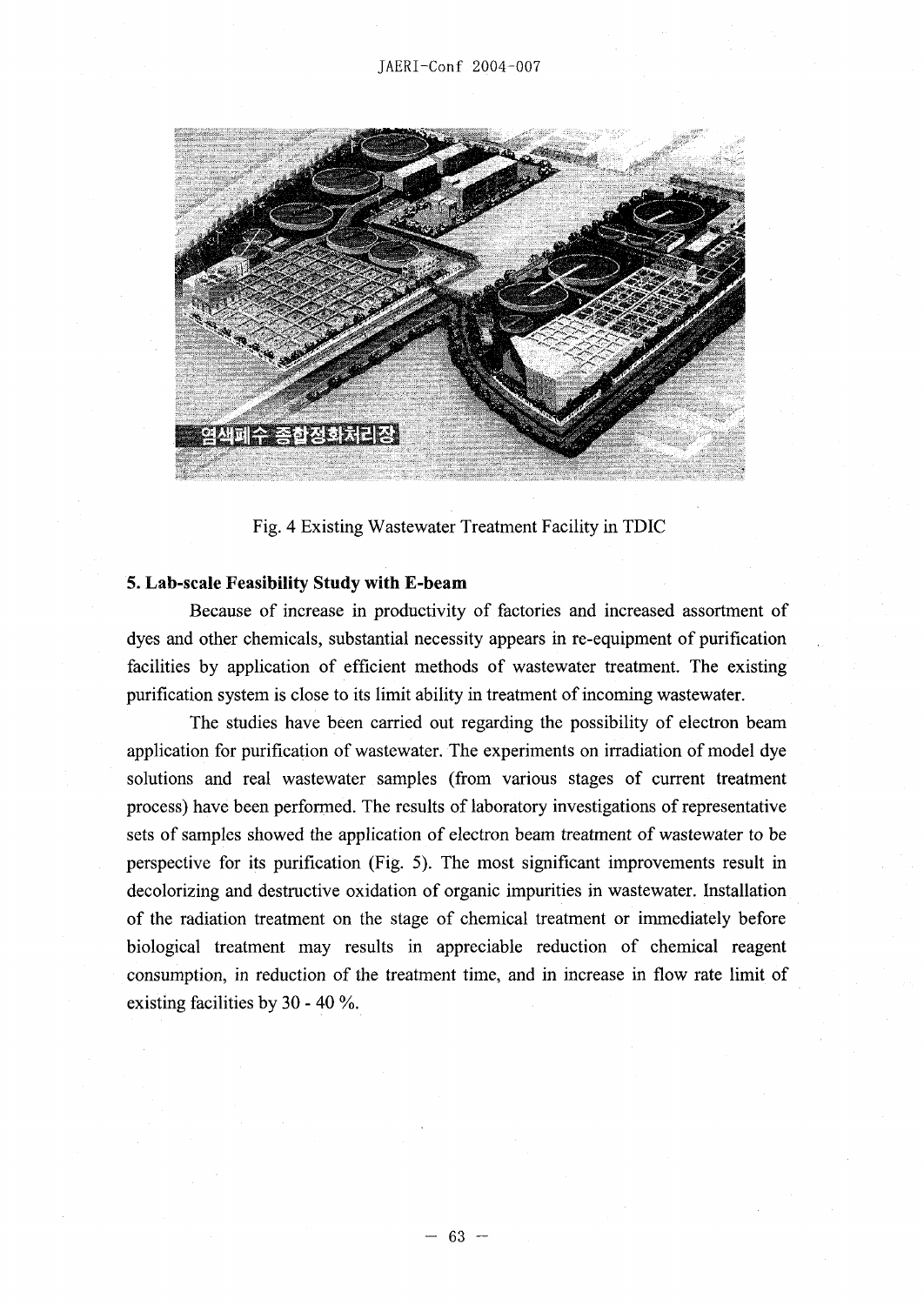

Fig. 4 Existing Wastewater Treatment Facility in TDIC

### **5. Lab-scale Feasibility Study with E-beam**

Because of increase in productivity of factories and increased assortment of dyes and other chemicals, substantial necessity appears in re-equipment of purification facilities by application of efficient methods of wastewater treatment. The existing purification system is close to its limit ability in treatment of incoming wastewater.

The studies have been carried out regarding the possibility of electron beam application for purification of wastewater. The experiments on irradiation of model dye solutions and real wastewater samples (from various stages of current treatment process) have been performed. The results of laboratory investigations of representative sets of samples showed the application of electron beam treatment of wastewater to be perspective for its purification (Fig. 5). The most significant improvements result in decolorizing and destructive oxidation of organic impurities in wastewater. Installation of the radiation treatment on the stage of chemical treatment or immediately before biological treatment may results in appreciable reduction of chemical reagent consumption, in reduction of the treatment time, and in increase in flow rate limit of existing facilities by 30 - 40  $\%$ .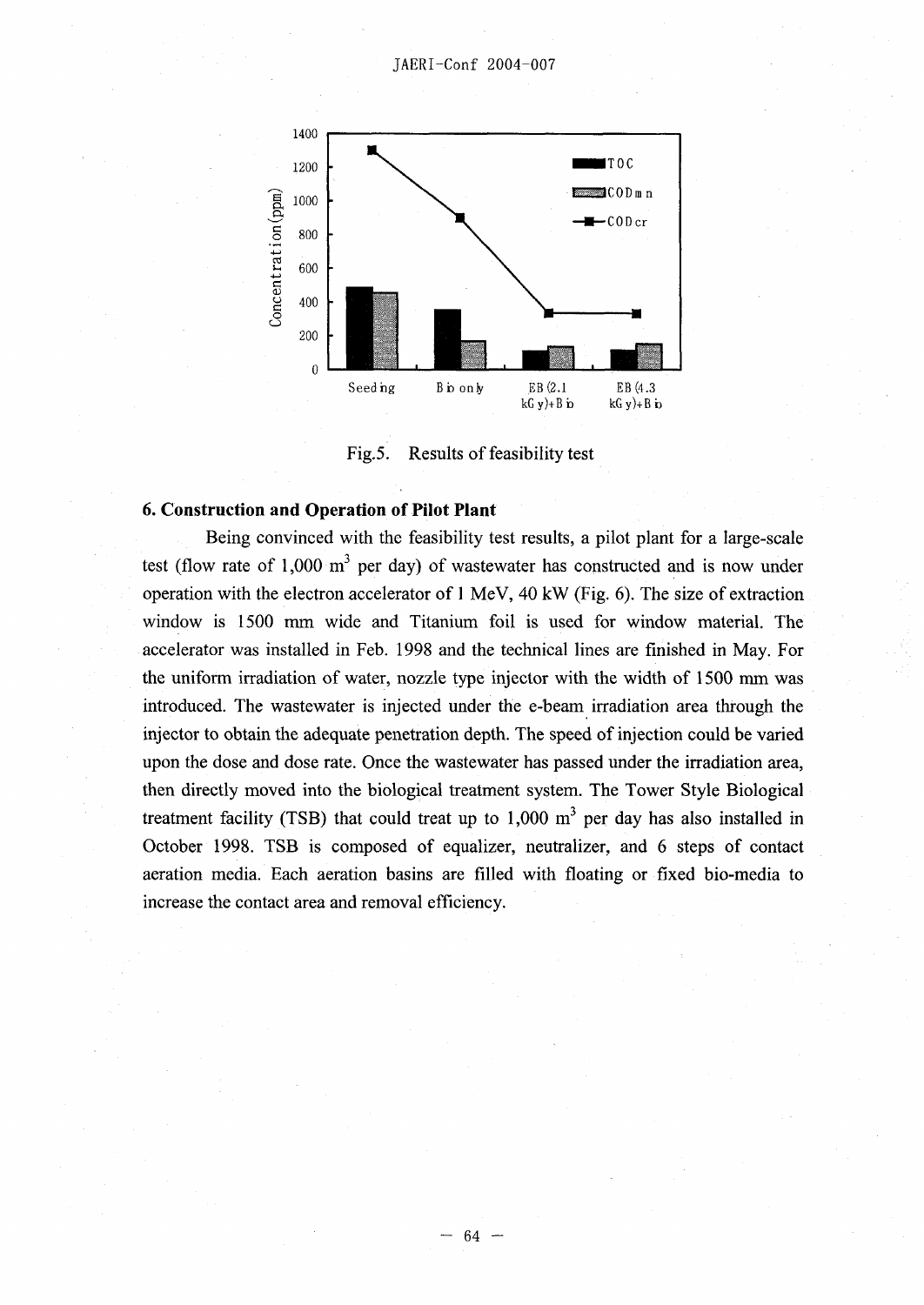

Fig.5. Results of feasibility test

#### **6. Construction and Operation of Pilot Plant**

Being convinced with the feasibility test results, a pilot plant for a large-scale test (flow rate of 1,000  $m<sup>3</sup>$  per day) of wastewater has constructed and is now under operation with the electron accelerator of  $1 \text{ MeV}$ ,  $40 \text{ kW}$  (Fig. 6). The size of extraction window is 1500 mm wide and Titanium foil is used for window material. The accelerator was installed in Feb. 1998 and the technical lines are finished in May. For the uniform irradiation of water, nozzle type injector with the width of 1500 mm was introduced. The wastewater is injected under the e-beam irradiation area through the injector to obtain the adequate penetration depth. The speed of injection could be varied upon the dose and dose rate. Once the wastewater has passed under the irradiation area, then directly moved into the biological treatment system. The Tower Style Biological treatment facility (TSB) that could treat up to  $1,000 \text{ m}^3$  per day has also installed in October 1998. TSB is composed of equalizer, neutralizer, and 6 steps of contact aeration media. Each aeration basins are filled with floating or fixed bio-media to increase the contact area and removal efficiency.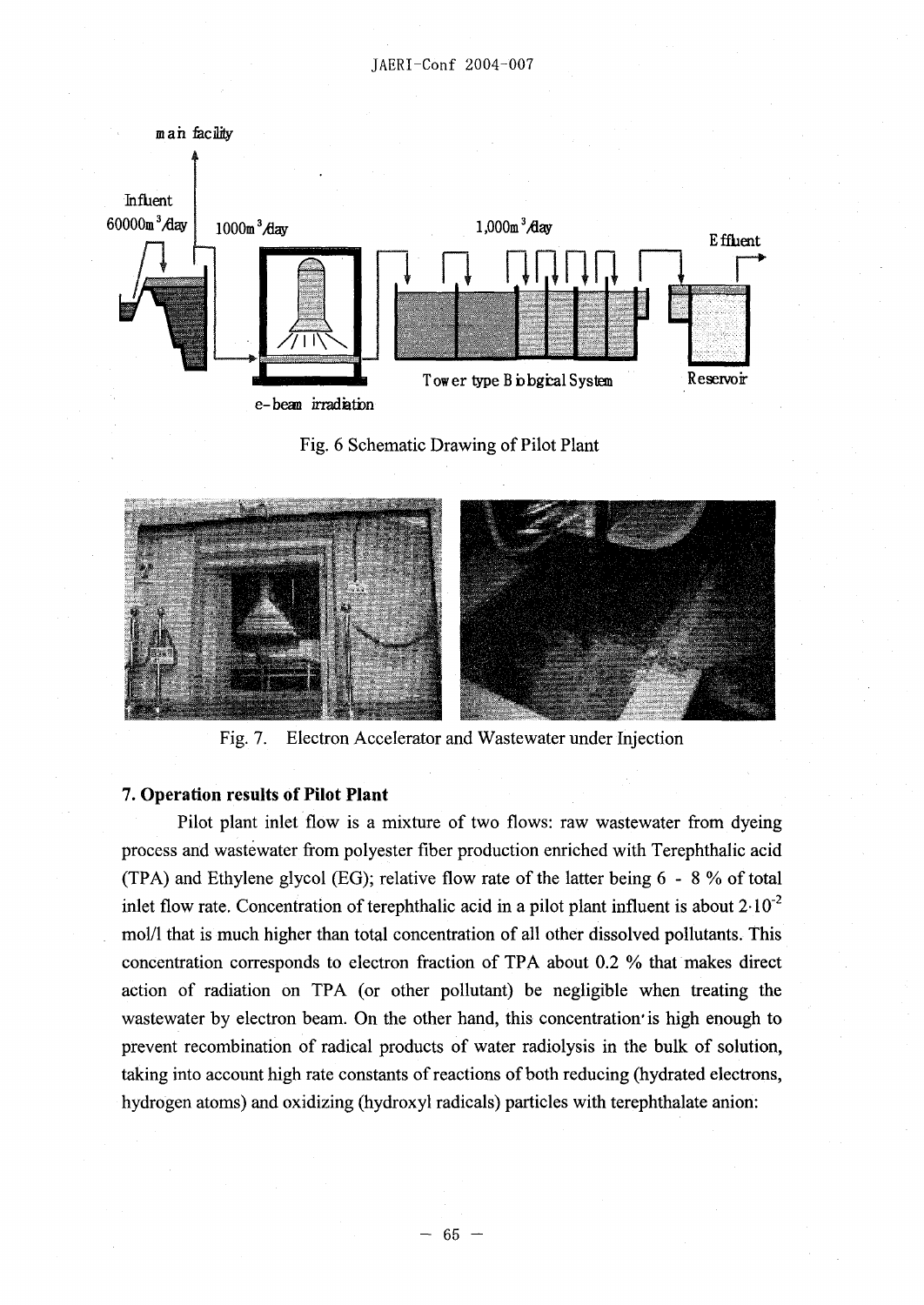





Fig. 7. Electron Accelerator and Wastewater under Injection

### 7. **Operation results of Pilot Plant**

Pilot plant inlet flow is a mixture of two flows: raw wastewater from dyeing process and wastewater from polyester fiber production enriched with Terephthalic acid (TPA) and Ethylene glycol (EG); relative flow rate of the latter being  $6 - 8\%$  of total inlet flow rate. Concentration of terephthalic acid in a pilot plant influent is about  $2.10^{-2}$ mol/1 that is much higher than total concentration of all other dissolved pollutants. This concentration corresponds to electron fraction of TPA about 0.2 % that makes direct action of radiation on TPA (or other pollutant) be negligible when treating the wastewater by electron beam. On the other hand, this concentration is high enough to prevent recombination of radical products of water radiolysis in the bulk of solution, taking into account high rate constants of reactions of both reducing (hydrated electrons, hydrogen atoms) and oxidizing (hydroxyl radicals) particles with tereplithalate anion: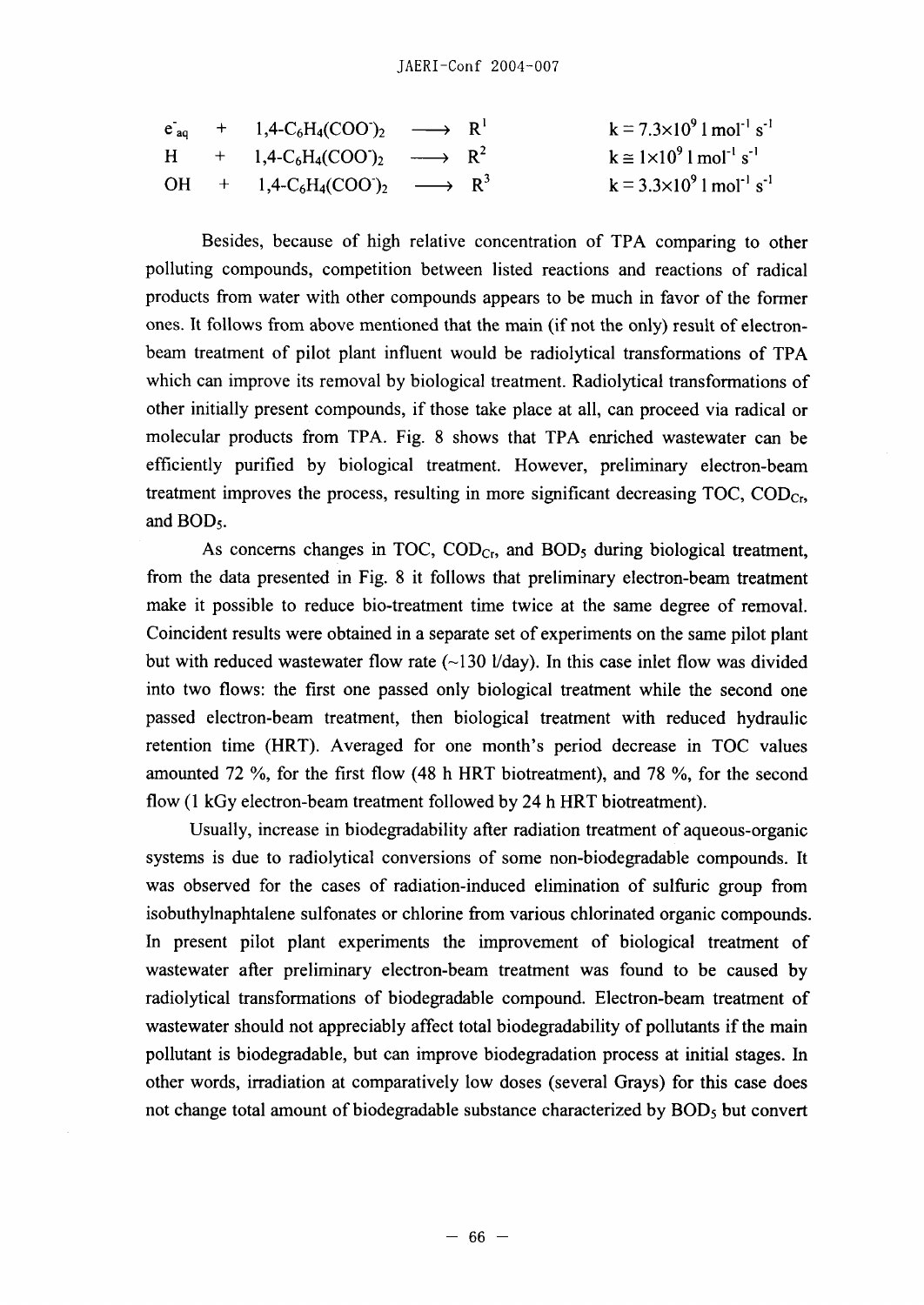|  | $e_{aq}$ + 1,4-C <sub>6</sub> H <sub>4</sub> (COO) <sub>2</sub> $\longrightarrow$ R <sup>1</sup>         |  | $k = 7.3 \times 10^9$ 1 mol <sup>-1</sup> s <sup>-1</sup>     |
|--|----------------------------------------------------------------------------------------------------------|--|---------------------------------------------------------------|
|  | $H + 1,4-C_6H_4(COO')_2 \longrightarrow R^2$                                                             |  | $k \approx 1 \times 10^9$ l mol <sup>-1</sup> s <sup>-1</sup> |
|  | OH + 1,4-C <sub>6</sub> H <sub>4</sub> (COO <sup>-</sup> ) <sub>2</sub> $\longrightarrow$ R <sup>3</sup> |  | $k = 3.3 \times 10^9$ 1 mol <sup>-1</sup> s <sup>-1</sup>     |

Besides, because of high relative concentration of TPA comparing to other polluting compounds, competition between listed reactions and reactions of radical products from water with other compounds appears to be much in favor of the former ones. It follows from above mentioned that the main (if not the only) result of electronbeam treatment of pilot plant influent would be radiolytical transformations of TPA which can improve its removal by biological treatment. Radiolytical transformations of other initially present compounds, if those take place at all, can proceed via radical or molecular products from TPA. Fig. 8 shows that TPA enriched wastewater can be efficiently purified by biological treatment. However, preliminary electron-beam treatment improves the process, resulting in more significant decreasing  $TOC$ ,  $COD_{Cr}$ , and BD5.

As concerns changes in TOC,  $\text{COD}_{\text{Cr}}$  and  $\text{BOD}_5$  during biological treatment, from the data presented in Fig. 8 it follows that preliminary electron-beam treatment make it possible to reduce bio-treatment time twice at the same degree of removal. Coincident results were obtained in a separate set of experiments on the same pilot plant but with reduced wastewater flow rate  $(-130 \frac{1}{\text{day}})$ . In this case inlet flow was divided into two flows: the first one passed only biological treatment while the second one passed electron-beam treatment, then biological treatment with reduced hydraulic retention time (HRT). Averaged for one month's period decrease in TOC values amounted 72 %, for the first flow (48 h HRT biotreatment), and 78 %, for the second flow (I kGy electron-beam treatment followed by 24 h HRT biotreatment).

Usually, increase in biodegradability after radiation treatment of aqueous-organic systems is due to radiolytical conversions of some non-biodegradable compounds. It was observed for the cases of radiation-induced elimination of sulfuric group from isobuthylnaphtalene sulfonates or chlorine from various chlorinated organic compounds. In present pilot plant experiments the improvement of biological treatment of wastewater after preliminary electron-beam treatment was found to be caused by radiolytical transformations of biodegradable compound. Electron-beam treatment of wastewater should not appreciably affect total biodegradability of pollutants if the main pollutant is biodegradable, but can improve biodegradation process at initial stages. In other words, irradiation at comparatively low doses (several Grays) for this case does not change total amount of biodegradable substance characterized by  $BOD<sub>5</sub>$  but convert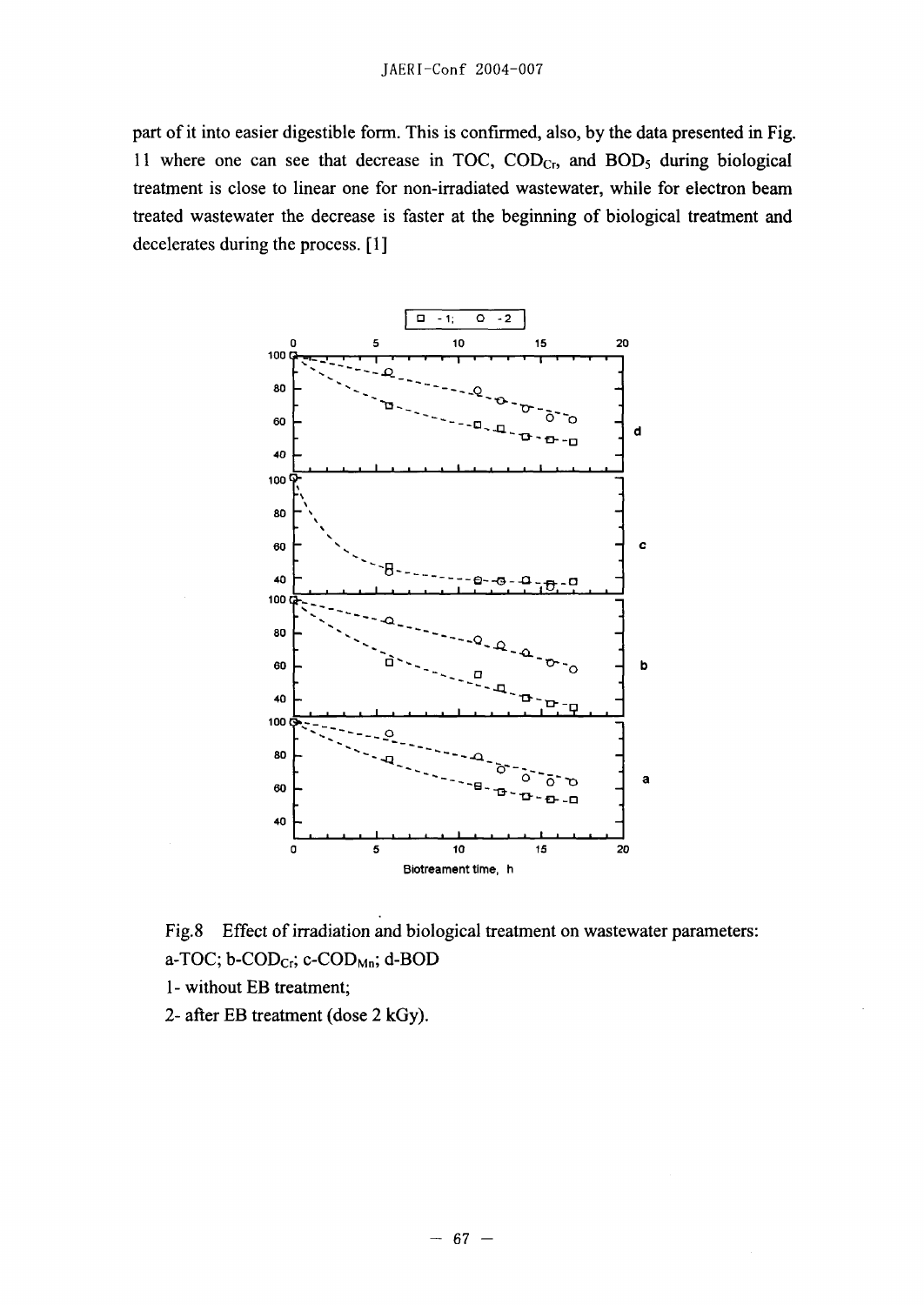part of it into easier digestible form. This is confirmed, also, by the data presented in Fig. 11 where one can see that decrease in TOC,  $\text{COD}_{\text{Cr}}$ , and  $\text{BOD}_5$  during biological treatment is close to linear one for non-irradiated wastewater, while for electron beam treated wastewater the decrease is faster at the beginning of biological treatment and decelerates during the process. [1]





- I without EB treatment;
- 2- after EB treatment (dose 2 kGy).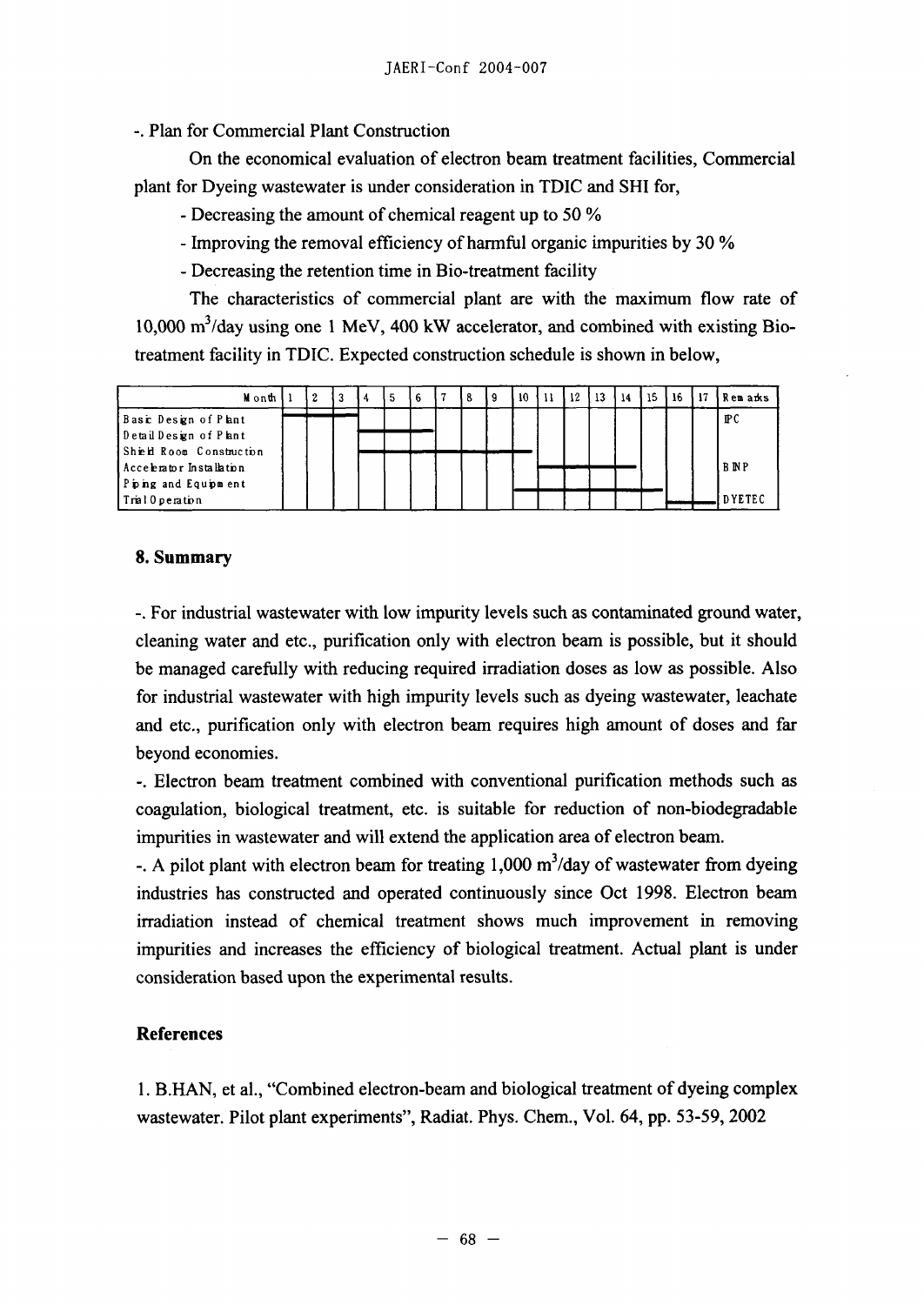Plan for Commercial Plant Construction

On the economical evaluation of electron beam treatment facilities, Commercial plant for Dyeing wastewater is under consideration in TDIC and SHI for,

- Decreasing the amount of chemical reagent up to 50 *%*
- Improving the removal efficiency of harmful organic impurities by 30 %
- Decreasing the retention time in Bio-treatment facility

The characteristics of commercial plant are with the maximum flow rate of  $10,000$  m<sup>3</sup>/day using one 1 MeV, 400 kW accelerator, and combined with existing Biotreatment facility in TDIC. Expected construction schedule is shown in below,

| Mionth                   |  | 2 | 3 |  | 6 | 8 | -10 | 12 | 13 | 14 | 15 | 16 | 17 | Rem arks        |
|--------------------------|--|---|---|--|---|---|-----|----|----|----|----|----|----|-----------------|
| Basic Design of Plant    |  |   |   |  |   |   |     |    |    |    |    |    |    | $_{\rm I\!P}$ C |
| Detail Design of Plant   |  |   |   |  |   |   |     |    |    |    |    |    |    |                 |
| Shield Room Construction |  |   |   |  |   |   |     |    |    |    |    |    |    |                 |
| Accelerator Installation |  |   |   |  |   |   |     |    |    |    |    |    |    | <b>BNP</b>      |
| Piping and Equipment     |  |   |   |  |   |   |     |    |    |    |    |    |    | DYETEC          |
| Tral Operation           |  |   |   |  |   |   |     |    |    |    |    |    |    |                 |

## **8. Summary**

**-.** For industrial wastewater with low impurity levels such as contaminated ground water, cleaning water and etc., purification only with electron beam is possible, but it should be managed carefully with reducing required irradiation doses as low as possible. Also for industrial wastewater with high impurity levels such as dyeing wastewater, leachate and etc., purification only with electron beam requires high amount of doses and far beyond economies.

-. Electron beam treatment combined with conventional purification methods such as coagulation, biological treatment, etc. is suitable for reduction of non-biodegradable impurities in wastewater and will extend the application area of electron beam.

-. A pilot plant with electron beam for treating  $1,000 \text{ m}^3/\text{day}$  of wastewater from dyeing industries has constructed and operated continuously since Oct 1998. Electron beam irradiation instead of chemical treatment shows much improvement in removing impurities and increases the efficiency of biological treatment. Actual plant is under consideration based upon the experimental results.

## **References**

**1.** B.HAN, et al., "Combined electron-beam and biological treatment of dyeing complex wastewater. Pilot plant experiments", Radiat. Phys. Chem., Vol. 64, pp. 53-59, 2002